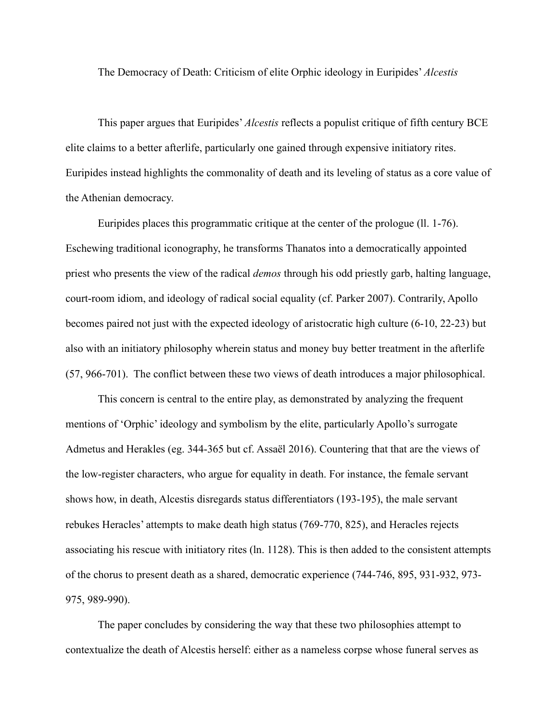The Democracy of Death: Criticism of elite Orphic ideology in Euripides' *Alcestis*

This paper argues that Euripides' *Alcestis* reflects a populist critique of fifth century BCE elite claims to a better afterlife, particularly one gained through expensive initiatory rites. Euripides instead highlights the commonality of death and its leveling of status as a core value of the Athenian democracy.

Euripides places this programmatic critique at the center of the prologue (ll. 1-76). Eschewing traditional iconography, he transforms Thanatos into a democratically appointed priest who presents the view of the radical *demos* through his odd priestly garb, halting language, court-room idiom, and ideology of radical social equality (cf. Parker 2007). Contrarily, Apollo becomes paired not just with the expected ideology of aristocratic high culture (6-10, 22-23) but also with an initiatory philosophy wherein status and money buy better treatment in the afterlife (57, 966-701). The conflict between these two views of death introduces a major philosophical.

This concern is central to the entire play, as demonstrated by analyzing the frequent mentions of 'Orphic' ideology and symbolism by the elite, particularly Apollo's surrogate Admetus and Herakles (eg. 344-365 but cf. Assaël 2016). Countering that that are the views of the low-register characters, who argue for equality in death. For instance, the female servant shows how, in death, Alcestis disregards status differentiators (193-195), the male servant rebukes Heracles' attempts to make death high status (769-770, 825), and Heracles rejects associating his rescue with initiatory rites (ln. 1128). This is then added to the consistent attempts of the chorus to present death as a shared, democratic experience (744-746, 895, 931-932, 973- 975, 989-990).

The paper concludes by considering the way that these two philosophies attempt to contextualize the death of Alcestis herself: either as a nameless corpse whose funeral serves as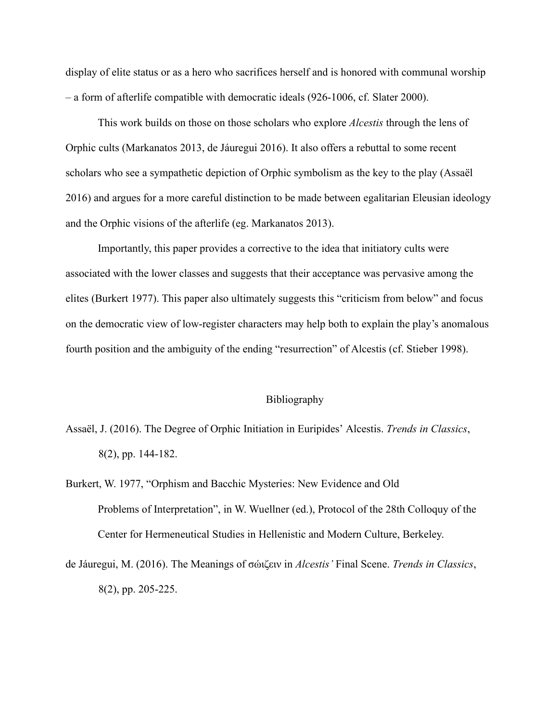display of elite status or as a hero who sacrifices herself and is honored with communal worship – a form of afterlife compatible with democratic ideals (926-1006, cf. Slater 2000).

This work builds on those on those scholars who explore *Alcestis* through the lens of Orphic cults (Markanatos 2013, de Jáuregui 2016). It also offers a rebuttal to some recent scholars who see a sympathetic depiction of Orphic symbolism as the key to the play (Assaël 2016) and argues for a more careful distinction to be made between egalitarian Eleusian ideology and the Orphic visions of the afterlife (eg. Markanatos 2013).

Importantly, this paper provides a corrective to the idea that initiatory cults were associated with the lower classes and suggests that their acceptance was pervasive among the elites (Burkert 1977). This paper also ultimately suggests this "criticism from below" and focus on the democratic view of low-register characters may help both to explain the play's anomalous fourth position and the ambiguity of the ending "resurrection" of Alcestis (cf. Stieber 1998).

## Bibliography

Assaël, J. (2016). The Degree of Orphic Initiation in Euripides' Alcestis. *Trends in Classics*, 8(2), pp. 144-182.

Burkert, W. 1977, "Orphism and Bacchic Mysteries: New Evidence and Old Problems of Interpretation", in W. Wuellner (ed.), Protocol of the 28th Colloquy of the Center for Hermeneutical Studies in Hellenistic and Modern Culture, Berkeley.

de Jáuregui, M. (2016). The Meanings of σώιζειν in *Alcestis'* Final Scene. *Trends in Classics*, 8(2), pp. 205-225.